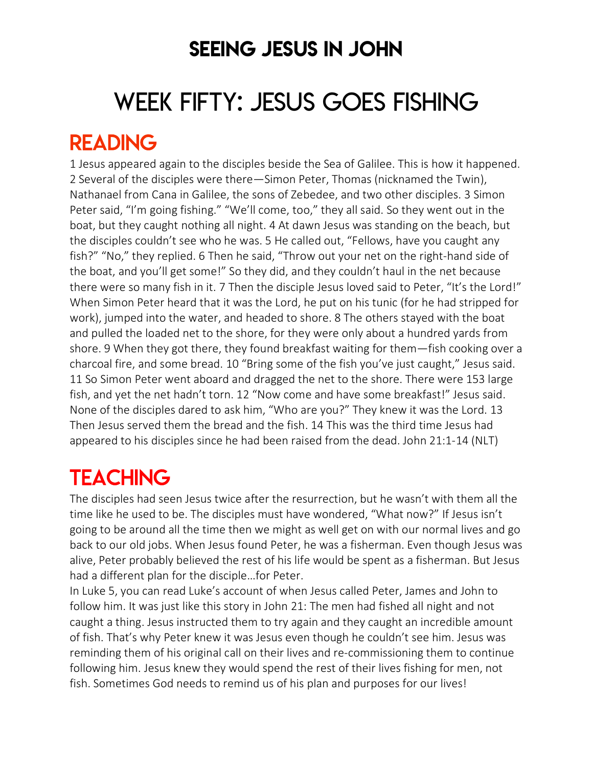### SEEING JESUS IN JOHN

# WEEK FIFTY: JESUS GOES FISHING

### READING

1 Jesus appeared again to the disciples beside the Sea of Galilee. This is how it happened. 2 Several of the disciples were there—Simon Peter, Thomas (nicknamed the Twin), Nathanael from Cana in Galilee, the sons of Zebedee, and two other disciples. 3 Simon Peter said, "I'm going fishing." "We'll come, too," they all said. So they went out in the boat, but they caught nothing all night. 4 At dawn Jesus was standing on the beach, but the disciples couldn't see who he was. 5 He called out, "Fellows, have you caught any fish?" "No," they replied. 6 Then he said, "Throw out your net on the right-hand side of the boat, and you'll get some!" So they did, and they couldn't haul in the net because there were so many fish in it. 7 Then the disciple Jesus loved said to Peter, "It's the Lord!" When Simon Peter heard that it was the Lord, he put on his tunic (for he had stripped for work), jumped into the water, and headed to shore. 8 The others stayed with the boat and pulled the loaded net to the shore, for they were only about a hundred yards from shore. 9 When they got there, they found breakfast waiting for them—fish cooking over a charcoal fire, and some bread. 10 "Bring some of the fish you've just caught," Jesus said. 11 So Simon Peter went aboard and dragged the net to the shore. There were 153 large fish, and yet the net hadn't torn. 12 "Now come and have some breakfast!" Jesus said. None of the disciples dared to ask him, "Who are you?" They knew it was the Lord. 13 Then Jesus served them the bread and the fish. 14 This was the third time Jesus had appeared to his disciples since he had been raised from the dead. John 21:1-14 (NLT)

### **TEACHING**

The disciples had seen Jesus twice after the resurrection, but he wasn't with them all the time like he used to be. The disciples must have wondered, "What now?" If Jesus isn't going to be around all the time then we might as well get on with our normal lives and go back to our old jobs. When Jesus found Peter, he was a fisherman. Even though Jesus was alive, Peter probably believed the rest of his life would be spent as a fisherman. But Jesus had a different plan for the disciple…for Peter.

In Luke 5, you can read Luke's account of when Jesus called Peter, James and John to follow him. It was just like this story in John 21: The men had fished all night and not caught a thing. Jesus instructed them to try again and they caught an incredible amount of fish. That's why Peter knew it was Jesus even though he couldn't see him. Jesus was reminding them of his original call on their lives and re-commissioning them to continue following him. Jesus knew they would spend the rest of their lives fishing for men, not fish. Sometimes God needs to remind us of his plan and purposes for our lives!